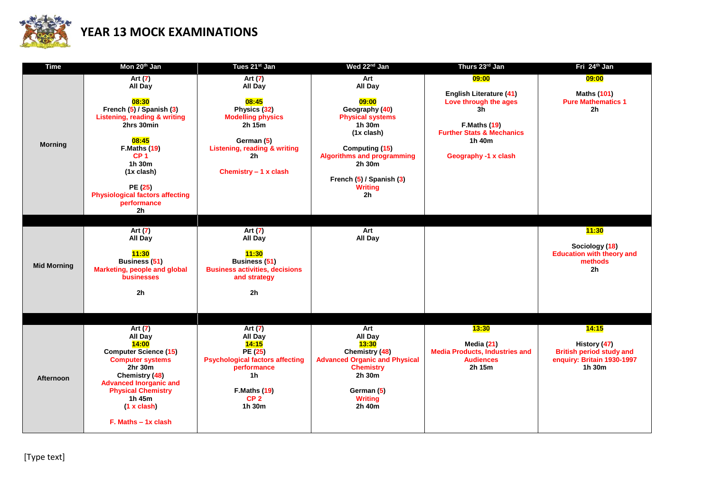

## **YEAR 13 MOCK EXAMINATIONS**

| <b>Time</b>        | Mon 20 <sup>th</sup> Jan                                                                                                                                                                                                                                                             | Tues 21 <sup>st</sup> Jan                                                                                                                                                                | Wed 22 <sup>nd</sup> Jan                                                                                                                                                                                                                | Thurs 23rd Jan                                                                                                                                                          | Fri 24 <sup>th</sup> Jan                                                                         |
|--------------------|--------------------------------------------------------------------------------------------------------------------------------------------------------------------------------------------------------------------------------------------------------------------------------------|------------------------------------------------------------------------------------------------------------------------------------------------------------------------------------------|-----------------------------------------------------------------------------------------------------------------------------------------------------------------------------------------------------------------------------------------|-------------------------------------------------------------------------------------------------------------------------------------------------------------------------|--------------------------------------------------------------------------------------------------|
| <b>Morning</b>     | Art (7)<br>All Day<br>08:30<br>French (5) / Spanish (3)<br><b>Listening, reading &amp; writing</b><br>2hrs 30min<br>08:45<br>F.Maths (19)<br>CP <sub>1</sub><br>1h 30m<br>$(1x \text{ clash})$<br>PE (25)<br><b>Physiological factors affecting</b><br>performance<br>2 <sub>h</sub> | Art $(7)$<br>All Day<br>08:45<br>Physics (32)<br><b>Modelling physics</b><br>2h 15m<br>German (5)<br><b>Listening, reading &amp; writing</b><br>2 <sub>h</sub><br>Chemistry $-1$ x clash | Art<br>All Day<br>09:00<br>Geography (40)<br><b>Physical systems</b><br>1h 30m<br>$(1x \text{ clash})$<br>Computing (15)<br><b>Algorithms and programming</b><br>2h 30m<br>French (5) / Spanish (3)<br><b>Writing</b><br>2 <sub>h</sub> | 09:00<br><b>English Literature (41)</b><br>Love through the ages<br>3h<br><b>F.Maths (19)</b><br><b>Further Stats &amp; Mechanics</b><br>1h 40m<br>Geography -1 x clash | 09:00<br><b>Maths (101)</b><br><b>Pure Mathematics 1</b><br>2 <sub>h</sub>                       |
| <b>Mid Morning</b> | Art $(7)$<br>All Day<br>11:30<br>Business (51)<br>Marketing, people and global<br>businesses<br>2 <sub>h</sub>                                                                                                                                                                       | Art (7)<br>All Day<br>11:30<br><b>Business (51)</b><br><b>Business activities, decisions</b><br>and strategy<br>2 <sub>h</sub>                                                           | Art<br>All Day                                                                                                                                                                                                                          |                                                                                                                                                                         | 11:30<br>Sociology (18)<br><b>Education with theory and</b><br>methods<br>2 <sub>h</sub>         |
| <b>Afternoon</b>   | Art (7)<br>All Day<br>14:00<br><b>Computer Science (15)</b><br><b>Computer systems</b><br>2hr 30m<br>Chemistry (48)<br><b>Advanced Inorganic and</b><br><b>Physical Chemistry</b><br>1h 45m<br>(1 x clash)<br>$F.$ Maths $-$ 1x clash                                                | Art (7)<br>All Day<br>14:15<br>PE (25)<br><b>Psychological factors affecting</b><br>performance<br>1 <sub>h</sub><br>F.Maths(19)<br>CP <sub>2</sub><br>1h 30m                            | Art<br>All Day<br>13:30<br>Chemistry (48)<br><b>Advanced Organic and Physical</b><br><b>Chemistry</b><br>2h 30m<br>German (5)<br><b>Writing</b><br>2h 40m                                                                               | 13:30<br>Media (21)<br><b>Media Products, Industries and</b><br><b>Audiences</b><br>2h 15m                                                                              | 14:15<br>History (47)<br><b>British period study and</b><br>enquiry: Britain 1930-1997<br>1h 30m |

[Type text]